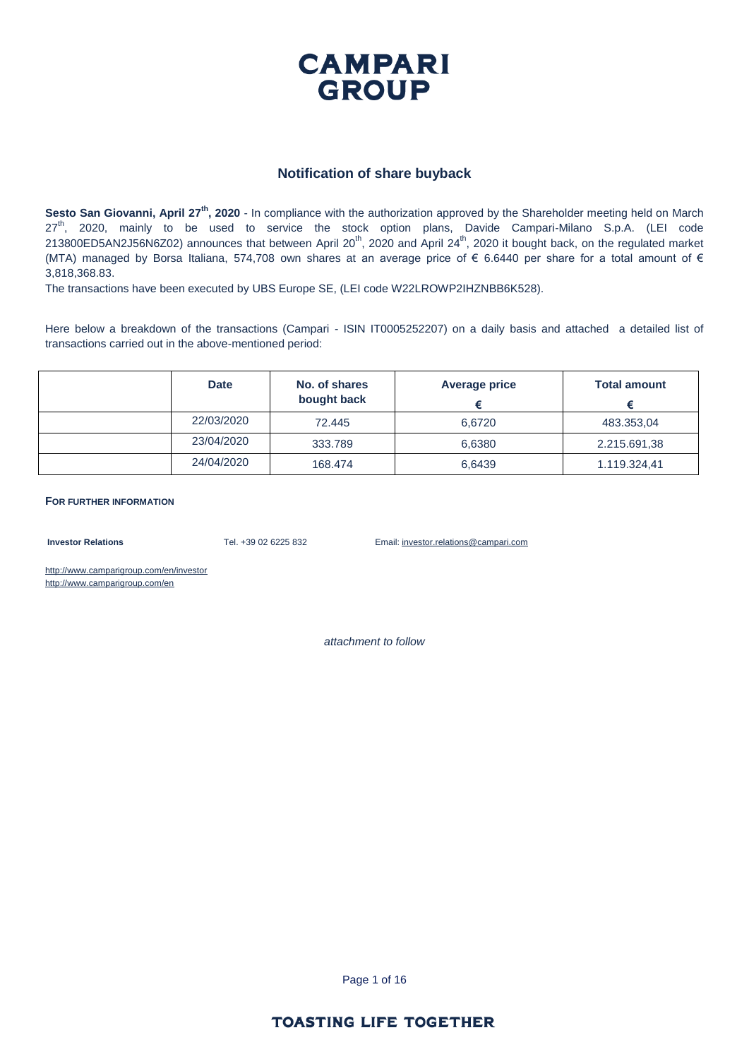

#### **Notification of share buyback**

**Sesto San Giovanni, April 27th, 2020** - In compliance with the authorization approved by the Shareholder meeting held on March 27<sup>th</sup>, 2020, mainly to be used to service the stock option plans, Davide Campari-Milano S.p.A. (LEI code 213800ED5AN2J56N6Z02) announces that between April 20<sup>th</sup>, 2020 and April 24<sup>th</sup>, 2020 it bought back, on the regulated market (MTA) managed by Borsa Italiana, 574,708 own shares at an average price of  $\epsilon$  6.6440 per share for a total amount of  $\epsilon$ 3,818,368.83.

The transactions have been executed by UBS Europe SE, (LEI code W22LROWP2IHZNBB6K528).

Here below a breakdown of the transactions (Campari - ISIN IT0005252207) on a daily basis and attached a detailed list of transactions carried out in the above-mentioned period:

| <b>Date</b> | No. of shares<br>bought back | <b>Average price</b> | <b>Total amount</b> |
|-------------|------------------------------|----------------------|---------------------|
| 22/03/2020  | 72.445                       | 6.6720               | 483.353,04          |
| 23/04/2020  | 333,789                      | 6,6380               | 2.215.691,38        |
| 24/04/2020  | 168,474                      | 6,6439               | 1.119.324,41        |

**FOR FURTHER INFORMATION**

**Investor Relations** Tel. +39 02 6225 832 Email: investor.relations@campari.com

http://www.camparigroup.com/en/investor http://www.camparigroup.com/en

*attachment to follow*

Page 1 of 16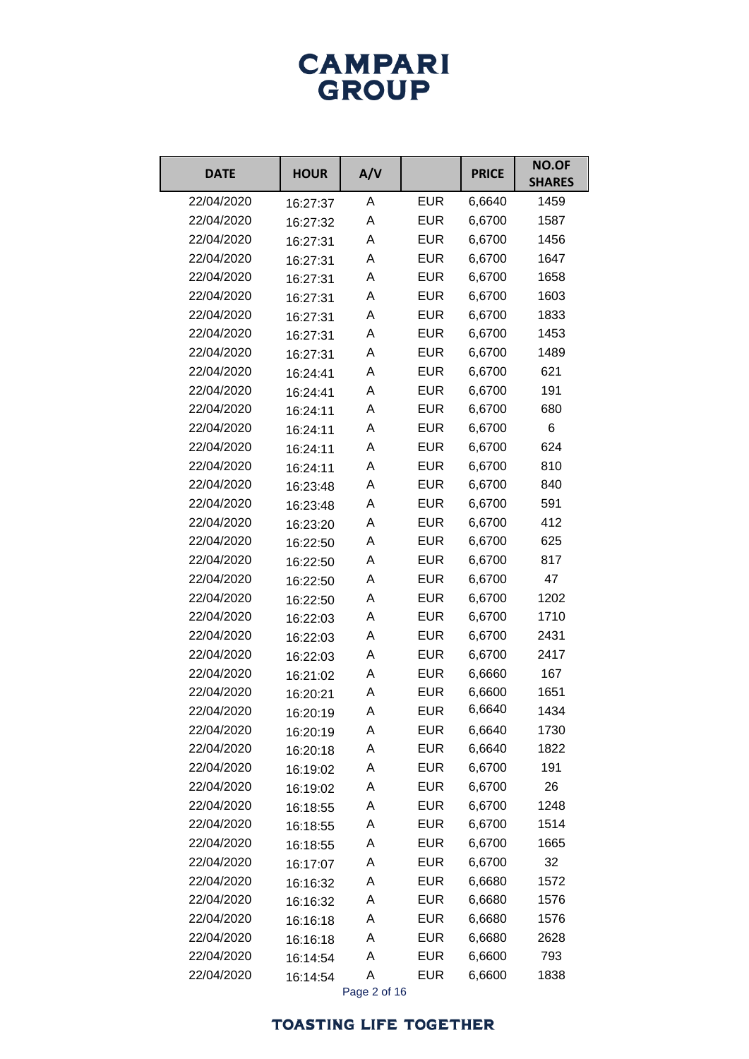# **CAMPARI**<br>GROUP

| <b>DATE</b> | <b>HOUR</b> | A/V |            | <b>PRICE</b> | <b>NO.OF</b><br><b>SHARES</b> |
|-------------|-------------|-----|------------|--------------|-------------------------------|
| 22/04/2020  | 16:27:37    | A   | <b>EUR</b> | 6,6640       | 1459                          |
| 22/04/2020  | 16:27:32    | Α   | <b>EUR</b> | 6,6700       | 1587                          |
| 22/04/2020  | 16:27:31    | Α   | <b>EUR</b> | 6,6700       | 1456                          |
| 22/04/2020  | 16:27:31    | Α   | <b>EUR</b> | 6,6700       | 1647                          |
| 22/04/2020  | 16:27:31    | Α   | <b>EUR</b> | 6,6700       | 1658                          |
| 22/04/2020  | 16:27:31    | Α   | <b>EUR</b> | 6,6700       | 1603                          |
| 22/04/2020  | 16:27:31    | Α   | <b>EUR</b> | 6,6700       | 1833                          |
| 22/04/2020  | 16:27:31    | Α   | <b>EUR</b> | 6,6700       | 1453                          |
| 22/04/2020  | 16:27:31    | Α   | <b>EUR</b> | 6,6700       | 1489                          |
| 22/04/2020  | 16:24:41    | Α   | <b>EUR</b> | 6,6700       | 621                           |
| 22/04/2020  | 16:24:41    | Α   | <b>EUR</b> | 6,6700       | 191                           |
| 22/04/2020  | 16:24:11    | Α   | <b>EUR</b> | 6,6700       | 680                           |
| 22/04/2020  | 16:24:11    | Α   | <b>EUR</b> | 6,6700       | 6                             |
| 22/04/2020  | 16:24:11    | Α   | <b>EUR</b> | 6,6700       | 624                           |
| 22/04/2020  | 16:24:11    | Α   | <b>EUR</b> | 6,6700       | 810                           |
| 22/04/2020  | 16:23:48    | Α   | <b>EUR</b> | 6,6700       | 840                           |
| 22/04/2020  | 16:23:48    | Α   | <b>EUR</b> | 6,6700       | 591                           |
| 22/04/2020  | 16:23:20    | Α   | <b>EUR</b> | 6,6700       | 412                           |
| 22/04/2020  | 16:22:50    | Α   | <b>EUR</b> | 6,6700       | 625                           |
| 22/04/2020  | 16:22:50    | Α   | <b>EUR</b> | 6,6700       | 817                           |
| 22/04/2020  | 16:22:50    | Α   | <b>EUR</b> | 6,6700       | 47                            |
| 22/04/2020  | 16:22:50    | Α   | <b>EUR</b> | 6,6700       | 1202                          |
| 22/04/2020  | 16:22:03    | Α   | <b>EUR</b> | 6,6700       | 1710                          |
| 22/04/2020  | 16:22:03    | Α   | <b>EUR</b> | 6,6700       | 2431                          |
| 22/04/2020  | 16:22:03    | Α   | <b>EUR</b> | 6,6700       | 2417                          |
| 22/04/2020  | 16:21:02    | Α   | <b>EUR</b> | 6,6660       | 167                           |
| 22/04/2020  | 16:20:21    | Α   | <b>EUR</b> | 6,6600       | 1651                          |
| 22/04/2020  | 16:20:19    | Α   | <b>EUR</b> | 6,6640       | 1434                          |
| 22/04/2020  | 16:20:19    | A   | <b>EUR</b> | 6,6640       | 1730                          |
| 22/04/2020  | 16:20:18    | А   | <b>EUR</b> | 6,6640       | 1822                          |
| 22/04/2020  | 16:19:02    | A   | <b>EUR</b> | 6,6700       | 191                           |
| 22/04/2020  | 16:19:02    | А   | <b>EUR</b> | 6,6700       | 26                            |
| 22/04/2020  | 16:18:55    | А   | <b>EUR</b> | 6,6700       | 1248                          |
| 22/04/2020  | 16:18:55    | А   | <b>EUR</b> | 6,6700       | 1514                          |
| 22/04/2020  | 16:18:55    | A   | <b>EUR</b> | 6,6700       | 1665                          |
| 22/04/2020  | 16:17:07    | А   | <b>EUR</b> | 6,6700       | 32                            |
| 22/04/2020  | 16:16:32    | А   | <b>EUR</b> | 6,6680       | 1572                          |
| 22/04/2020  | 16:16:32    | А   | <b>EUR</b> | 6,6680       | 1576                          |
| 22/04/2020  | 16:16:18    | A   | <b>EUR</b> | 6,6680       | 1576                          |
| 22/04/2020  | 16:16:18    | А   | <b>EUR</b> | 6,6680       | 2628                          |
| 22/04/2020  | 16:14:54    | А   | <b>EUR</b> | 6,6600       | 793                           |
| 22/04/2020  | 16:14:54    | A   | <b>EUR</b> | 6,6600       | 1838                          |

Page 2 of 16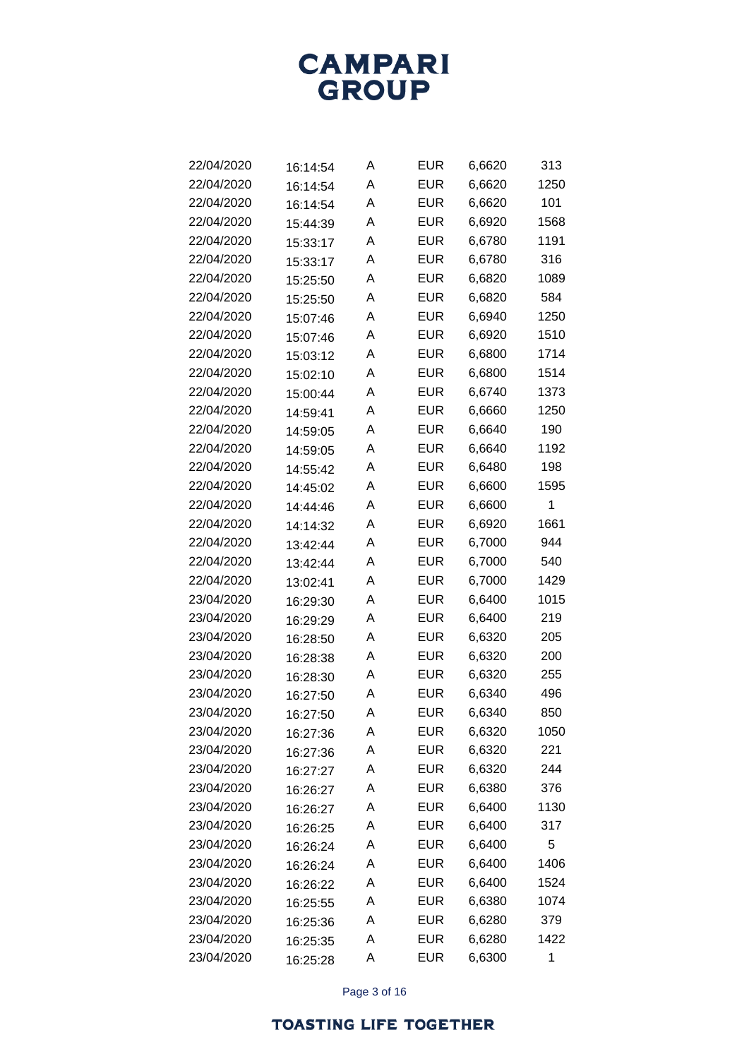

| 22/04/2020 | 16:14:54 | Α | <b>EUR</b> | 6,6620 | 313  |
|------------|----------|---|------------|--------|------|
| 22/04/2020 | 16:14:54 | Α | <b>EUR</b> | 6,6620 | 1250 |
| 22/04/2020 | 16:14:54 | Α | <b>EUR</b> | 6,6620 | 101  |
| 22/04/2020 | 15:44:39 | Α | <b>EUR</b> | 6,6920 | 1568 |
| 22/04/2020 | 15:33:17 | Α | <b>EUR</b> | 6,6780 | 1191 |
| 22/04/2020 | 15:33:17 | A | <b>EUR</b> | 6,6780 | 316  |
| 22/04/2020 | 15:25:50 | Α | <b>EUR</b> | 6,6820 | 1089 |
| 22/04/2020 | 15:25:50 | Α | <b>EUR</b> | 6,6820 | 584  |
| 22/04/2020 | 15:07:46 | A | <b>EUR</b> | 6,6940 | 1250 |
| 22/04/2020 | 15:07:46 | A | <b>EUR</b> | 6,6920 | 1510 |
| 22/04/2020 | 15:03:12 | A | <b>EUR</b> | 6,6800 | 1714 |
| 22/04/2020 | 15:02:10 | Α | <b>EUR</b> | 6,6800 | 1514 |
| 22/04/2020 | 15:00:44 | A | <b>EUR</b> | 6,6740 | 1373 |
| 22/04/2020 | 14:59:41 | Α | <b>EUR</b> | 6,6660 | 1250 |
| 22/04/2020 | 14:59:05 | Α | <b>EUR</b> | 6,6640 | 190  |
| 22/04/2020 | 14:59:05 | Α | <b>EUR</b> | 6,6640 | 1192 |
| 22/04/2020 | 14:55:42 | A | <b>EUR</b> | 6,6480 | 198  |
| 22/04/2020 | 14:45:02 | Α | <b>EUR</b> | 6,6600 | 1595 |
| 22/04/2020 | 14:44:46 | Α | <b>EUR</b> | 6,6600 | 1    |
| 22/04/2020 | 14:14:32 | Α | <b>EUR</b> | 6,6920 | 1661 |
| 22/04/2020 | 13:42:44 | A | <b>EUR</b> | 6,7000 | 944  |
| 22/04/2020 | 13:42:44 | Α | <b>EUR</b> | 6,7000 | 540  |
| 22/04/2020 | 13:02:41 | Α | <b>EUR</b> | 6,7000 | 1429 |
| 23/04/2020 | 16:29:30 | Α | <b>EUR</b> | 6,6400 | 1015 |
| 23/04/2020 | 16:29:29 | A | <b>EUR</b> | 6,6400 | 219  |
| 23/04/2020 | 16:28:50 | Α | <b>EUR</b> | 6,6320 | 205  |
| 23/04/2020 | 16:28:38 | Α | <b>EUR</b> | 6,6320 | 200  |
| 23/04/2020 | 16:28:30 | Α | <b>EUR</b> | 6,6320 | 255  |
| 23/04/2020 | 16:27:50 | A | <b>EUR</b> | 6,6340 | 496  |
| 23/04/2020 | 16:27:50 | Α | <b>EUR</b> | 6,6340 | 850  |
| 23/04/2020 | 16:27:36 | Α | <b>EUR</b> | 6,6320 | 1050 |
| 23/04/2020 | 16:27:36 | Α | <b>EUR</b> | 6,6320 | 221  |
| 23/04/2020 | 16:27:27 | Α | <b>EUR</b> | 6,6320 | 244  |
| 23/04/2020 | 16:26:27 | Α | <b>EUR</b> | 6,6380 | 376  |
| 23/04/2020 | 16:26:27 | Α | <b>EUR</b> | 6,6400 | 1130 |
| 23/04/2020 | 16:26:25 | Α | <b>EUR</b> | 6,6400 | 317  |
| 23/04/2020 | 16:26:24 | Α | <b>EUR</b> | 6,6400 | 5    |
| 23/04/2020 | 16:26:24 | Α | <b>EUR</b> | 6,6400 | 1406 |
| 23/04/2020 | 16:26:22 | Α | <b>EUR</b> | 6,6400 | 1524 |
| 23/04/2020 | 16:25:55 | Α | <b>EUR</b> | 6,6380 | 1074 |
| 23/04/2020 | 16:25:36 | Α | <b>EUR</b> | 6,6280 | 379  |
| 23/04/2020 | 16:25:35 | Α | <b>EUR</b> | 6,6280 | 1422 |
| 23/04/2020 | 16:25:28 | Α | <b>EUR</b> | 6,6300 | 1    |

Page 3 of 16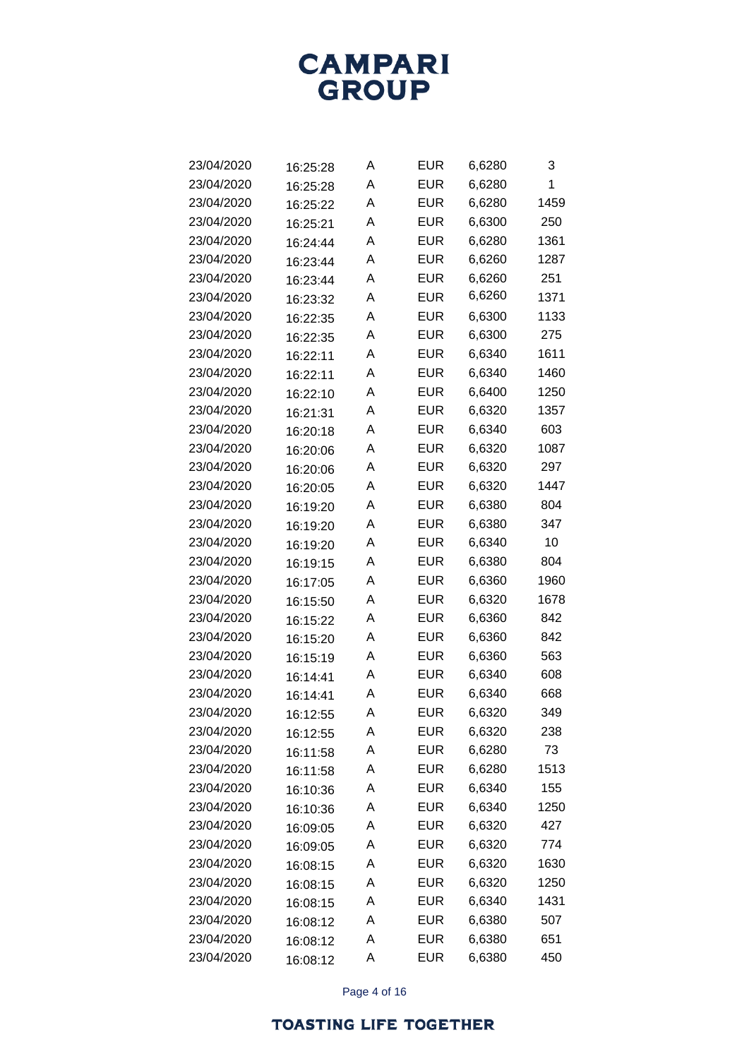

| 23/04/2020 | 16:25:28 | Α | EUR        | 6,6280 | 3    |
|------------|----------|---|------------|--------|------|
| 23/04/2020 | 16:25:28 | Α | <b>EUR</b> | 6,6280 | 1    |
| 23/04/2020 | 16:25:22 | Α | EUR        | 6,6280 | 1459 |
| 23/04/2020 | 16:25:21 | A | <b>EUR</b> | 6,6300 | 250  |
| 23/04/2020 | 16:24:44 | A | EUR        | 6,6280 | 1361 |
| 23/04/2020 | 16:23:44 | A | EUR        | 6,6260 | 1287 |
| 23/04/2020 | 16:23:44 | Α | EUR        | 6,6260 | 251  |
| 23/04/2020 | 16:23:32 | A | <b>EUR</b> | 6,6260 | 1371 |
| 23/04/2020 | 16:22:35 | A | EUR        | 6,6300 | 1133 |
| 23/04/2020 | 16:22:35 | A | EUR        | 6,6300 | 275  |
| 23/04/2020 | 16:22:11 | A | EUR        | 6,6340 | 1611 |
| 23/04/2020 | 16:22:11 | A | <b>EUR</b> | 6,6340 | 1460 |
| 23/04/2020 | 16:22:10 | A | EUR        | 6,6400 | 1250 |
| 23/04/2020 | 16:21:31 | A | EUR        | 6,6320 | 1357 |
| 23/04/2020 | 16:20:18 | A | EUR        | 6,6340 | 603  |
| 23/04/2020 | 16:20:06 | A | <b>EUR</b> | 6,6320 | 1087 |
| 23/04/2020 | 16:20:06 | A | EUR        | 6,6320 | 297  |
| 23/04/2020 | 16:20:05 | A | EUR        | 6,6320 | 1447 |
| 23/04/2020 | 16:19:20 | Α | EUR        | 6,6380 | 804  |
| 23/04/2020 | 16:19:20 | A | <b>EUR</b> | 6,6380 | 347  |
| 23/04/2020 | 16:19:20 | A | EUR        | 6,6340 | 10   |
| 23/04/2020 | 16:19:15 | A | EUR        | 6,6380 | 804  |
| 23/04/2020 | 16:17:05 | Α | EUR        | 6,6360 | 1960 |
| 23/04/2020 | 16:15:50 | A | EUR        | 6,6320 | 1678 |
| 23/04/2020 | 16:15:22 | A | EUR        | 6,6360 | 842  |
| 23/04/2020 | 16:15:20 | A | EUR        | 6,6360 | 842  |
| 23/04/2020 | 16:15:19 | Α | EUR        | 6,6360 | 563  |
| 23/04/2020 | 16:14:41 | A | EUR        | 6,6340 | 608  |
| 23/04/2020 | 16:14:41 | A | EUR        | 6,6340 | 668  |
| 23/04/2020 | 16:12:55 | A | EUR        | 6,6320 | 349  |
| 23/04/2020 | 16:12:55 | Α | <b>EUR</b> | 6,6320 | 238  |
| 23/04/2020 | 16:11:58 | Α | <b>EUR</b> | 6,6280 | 73   |
| 23/04/2020 | 16:11:58 | Α | <b>EUR</b> | 6,6280 | 1513 |
| 23/04/2020 | 16:10:36 | Α | <b>EUR</b> | 6,6340 | 155  |
| 23/04/2020 | 16:10:36 | Α | <b>EUR</b> | 6,6340 | 1250 |
| 23/04/2020 | 16:09:05 | Α | EUR        | 6,6320 | 427  |
| 23/04/2020 | 16:09:05 | A | <b>EUR</b> | 6,6320 | 774  |
| 23/04/2020 | 16:08:15 | Α | <b>EUR</b> | 6,6320 | 1630 |
| 23/04/2020 | 16:08:15 | Α | EUR        | 6,6320 | 1250 |
| 23/04/2020 | 16:08:15 | Α | EUR        | 6,6340 | 1431 |
| 23/04/2020 | 16:08:12 | Α | <b>EUR</b> | 6,6380 | 507  |
| 23/04/2020 | 16:08:12 | Α | <b>EUR</b> | 6,6380 | 651  |
| 23/04/2020 | 16:08:12 | А | <b>EUR</b> | 6,6380 | 450  |

Page 4 of 16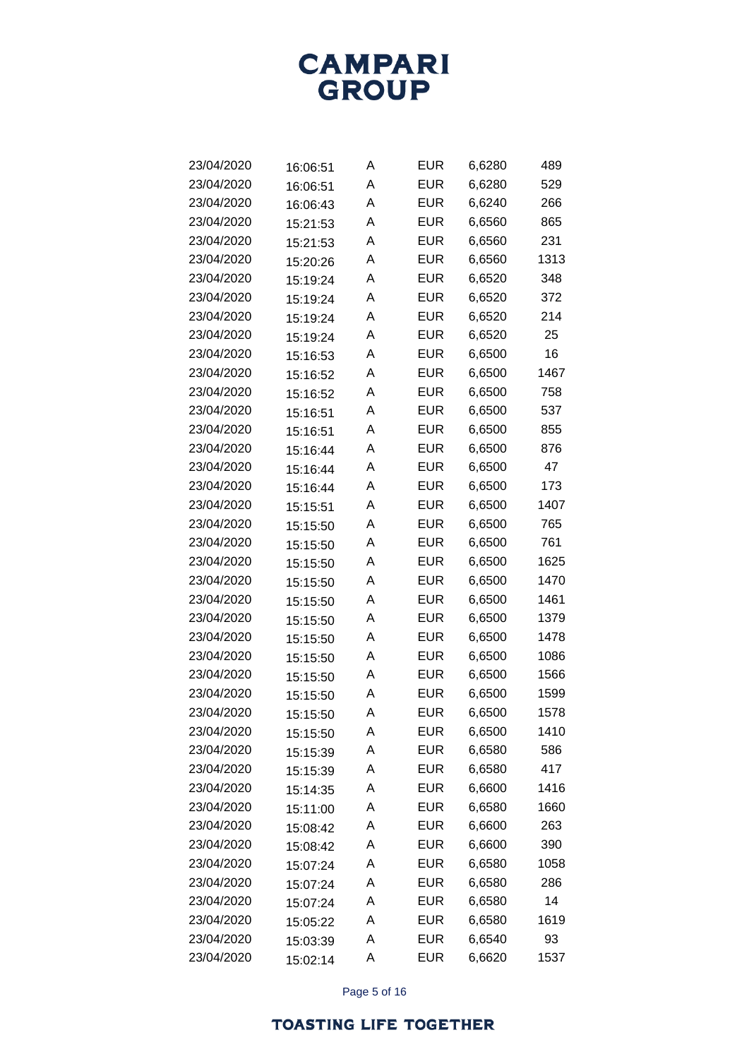

| 23/04/2020 | 16:06:51 | Α | EUR        | 6,6280 | 489  |
|------------|----------|---|------------|--------|------|
| 23/04/2020 | 16:06:51 | Α | <b>EUR</b> | 6,6280 | 529  |
| 23/04/2020 | 16:06:43 | Α | <b>EUR</b> | 6,6240 | 266  |
| 23/04/2020 | 15:21:53 | Α | <b>EUR</b> | 6,6560 | 865  |
| 23/04/2020 | 15:21:53 | Α | <b>EUR</b> | 6,6560 | 231  |
| 23/04/2020 | 15:20:26 | Α | <b>EUR</b> | 6,6560 | 1313 |
| 23/04/2020 | 15:19:24 | Α | <b>EUR</b> | 6,6520 | 348  |
| 23/04/2020 | 15:19:24 | Α | <b>EUR</b> | 6,6520 | 372  |
| 23/04/2020 | 15:19:24 | Α | <b>EUR</b> | 6,6520 | 214  |
| 23/04/2020 | 15:19:24 | Α | <b>EUR</b> | 6,6520 | 25   |
| 23/04/2020 | 15:16:53 | Α | <b>EUR</b> | 6,6500 | 16   |
| 23/04/2020 | 15:16:52 | Α | <b>EUR</b> | 6,6500 | 1467 |
| 23/04/2020 | 15:16:52 | Α | <b>EUR</b> | 6,6500 | 758  |
| 23/04/2020 | 15:16:51 | Α | <b>EUR</b> | 6,6500 | 537  |
| 23/04/2020 | 15:16:51 | Α | <b>EUR</b> | 6,6500 | 855  |
| 23/04/2020 | 15:16:44 | Α | <b>EUR</b> | 6,6500 | 876  |
| 23/04/2020 | 15:16:44 | Α | <b>EUR</b> | 6,6500 | 47   |
| 23/04/2020 | 15:16:44 | Α | <b>EUR</b> | 6,6500 | 173  |
| 23/04/2020 | 15:15:51 | Α | <b>EUR</b> | 6,6500 | 1407 |
| 23/04/2020 | 15:15:50 | Α | <b>EUR</b> | 6,6500 | 765  |
| 23/04/2020 | 15:15:50 | Α | <b>EUR</b> | 6,6500 | 761  |
| 23/04/2020 | 15:15:50 | A | <b>EUR</b> | 6,6500 | 1625 |
| 23/04/2020 | 15:15:50 | A | <b>EUR</b> | 6,6500 | 1470 |
| 23/04/2020 | 15:15:50 | Α | <b>EUR</b> | 6,6500 | 1461 |
| 23/04/2020 | 15:15:50 | A | <b>EUR</b> | 6,6500 | 1379 |
| 23/04/2020 | 15:15:50 | A | <b>EUR</b> | 6,6500 | 1478 |
| 23/04/2020 | 15:15:50 | A | <b>EUR</b> | 6,6500 | 1086 |
| 23/04/2020 | 15:15:50 | A | <b>EUR</b> | 6,6500 | 1566 |
| 23/04/2020 | 15:15:50 | Α | <b>EUR</b> | 6,6500 | 1599 |
| 23/04/2020 | 15:15:50 | Α | EUR        | 6,6500 | 1578 |
| 23/04/2020 | 15:15:50 | Α | <b>EUR</b> | 6,6500 | 1410 |
| 23/04/2020 | 15:15:39 | Α | <b>EUR</b> | 6,6580 | 586  |
| 23/04/2020 | 15:15:39 | Α | <b>EUR</b> | 6,6580 | 417  |
| 23/04/2020 | 15:14:35 | Α | <b>EUR</b> | 6,6600 | 1416 |
| 23/04/2020 | 15:11:00 | Α | <b>EUR</b> | 6,6580 | 1660 |
| 23/04/2020 | 15:08:42 | Α | <b>EUR</b> | 6,6600 | 263  |
| 23/04/2020 | 15:08:42 | Α | <b>EUR</b> | 6,6600 | 390  |
| 23/04/2020 | 15:07:24 | Α | <b>EUR</b> | 6,6580 | 1058 |
| 23/04/2020 | 15:07:24 | Α | <b>EUR</b> | 6,6580 | 286  |
| 23/04/2020 | 15:07:24 | Α | <b>EUR</b> | 6,6580 | 14   |
| 23/04/2020 | 15:05:22 | Α | <b>EUR</b> | 6,6580 | 1619 |
| 23/04/2020 | 15:03:39 | A | <b>EUR</b> | 6,6540 | 93   |
| 23/04/2020 | 15:02:14 | Α | <b>EUR</b> | 6,6620 | 1537 |

Page 5 of 16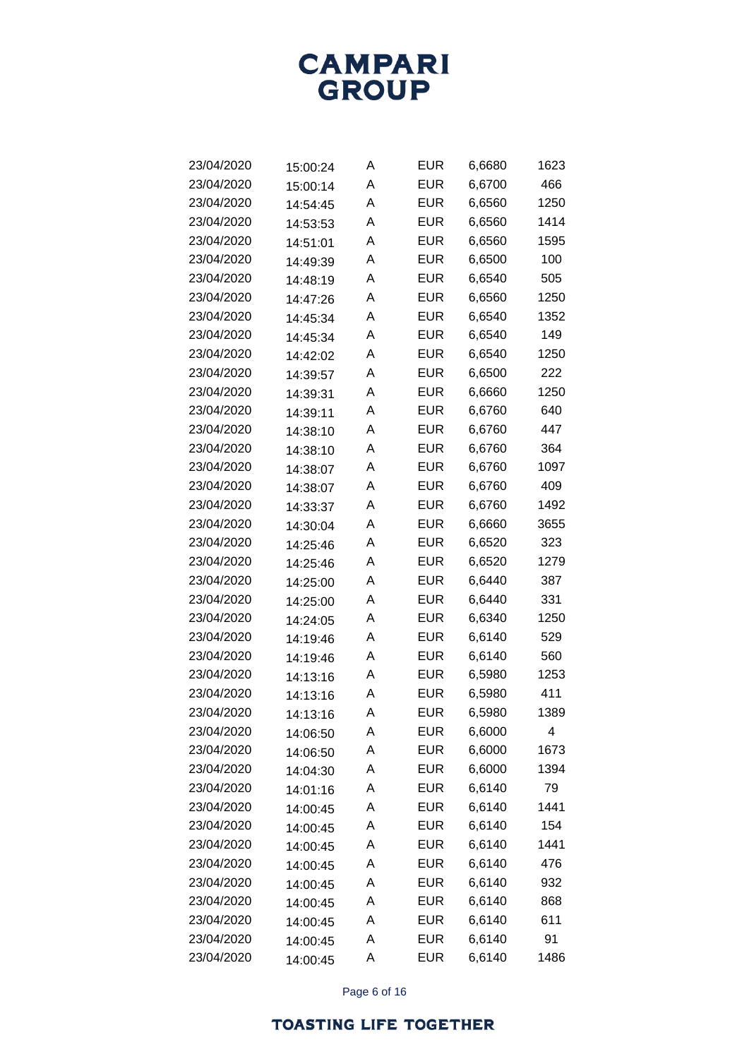

| 23/04/2020 | 15:00:24 | Α | EUR        | 6,6680 | 1623 |
|------------|----------|---|------------|--------|------|
| 23/04/2020 | 15:00:14 | Α | <b>EUR</b> | 6,6700 | 466  |
| 23/04/2020 | 14:54:45 | Α | EUR        | 6,6560 | 1250 |
| 23/04/2020 | 14:53:53 | Α | <b>EUR</b> | 6,6560 | 1414 |
| 23/04/2020 | 14:51:01 | Α | EUR        | 6,6560 | 1595 |
| 23/04/2020 | 14:49:39 | A | <b>EUR</b> | 6,6500 | 100  |
| 23/04/2020 | 14:48:19 | Α | EUR        | 6,6540 | 505  |
| 23/04/2020 | 14:47:26 | A | <b>EUR</b> | 6,6560 | 1250 |
| 23/04/2020 | 14:45:34 | Α | <b>EUR</b> | 6,6540 | 1352 |
| 23/04/2020 | 14:45:34 | A | <b>EUR</b> | 6,6540 | 149  |
| 23/04/2020 | 14:42:02 | Α | EUR        | 6,6540 | 1250 |
| 23/04/2020 | 14:39:57 | A | <b>EUR</b> | 6,6500 | 222  |
| 23/04/2020 | 14:39:31 | Α | EUR        | 6,6660 | 1250 |
| 23/04/2020 | 14:39:11 | A | <b>EUR</b> | 6,6760 | 640  |
| 23/04/2020 | 14:38:10 | Α | EUR        | 6,6760 | 447  |
| 23/04/2020 | 14:38:10 | A | <b>EUR</b> | 6,6760 | 364  |
| 23/04/2020 | 14:38:07 | Α | <b>EUR</b> | 6,6760 | 1097 |
| 23/04/2020 | 14:38:07 | A | <b>EUR</b> | 6,6760 | 409  |
| 23/04/2020 | 14:33:37 | Α | EUR        | 6,6760 | 1492 |
| 23/04/2020 | 14:30:04 | A | <b>EUR</b> | 6,6660 | 3655 |
| 23/04/2020 | 14:25:46 | A | EUR        | 6,6520 | 323  |
| 23/04/2020 | 14:25:46 | A | EUR        | 6,6520 | 1279 |
| 23/04/2020 | 14:25:00 | Α | EUR        | 6,6440 | 387  |
| 23/04/2020 | 14:25:00 | A | <b>EUR</b> | 6,6440 | 331  |
| 23/04/2020 | 14:24:05 | A | EUR        | 6,6340 | 1250 |
| 23/04/2020 | 14:19:46 | A | EUR        | 6,6140 | 529  |
| 23/04/2020 | 14:19:46 | Α | EUR        | 6,6140 | 560  |
| 23/04/2020 | 14:13:16 | A | <b>EUR</b> | 6,5980 | 1253 |
| 23/04/2020 | 14:13:16 | A | <b>EUR</b> | 6,5980 | 411  |
| 23/04/2020 | 14:13:16 | A | EUR        | 6,5980 | 1389 |
| 23/04/2020 | 14:06:50 | Α | <b>EUR</b> | 6,6000 | 4    |
| 23/04/2020 | 14:06:50 | Α | <b>EUR</b> | 6,6000 | 1673 |
| 23/04/2020 | 14:04:30 | Α | <b>EUR</b> | 6,6000 | 1394 |
| 23/04/2020 | 14:01:16 | Α | <b>EUR</b> | 6,6140 | 79   |
| 23/04/2020 | 14:00:45 | Α | <b>EUR</b> | 6,6140 | 1441 |
| 23/04/2020 | 14:00:45 | Α | <b>EUR</b> | 6,6140 | 154  |
| 23/04/2020 | 14:00:45 | Α | <b>EUR</b> | 6,6140 | 1441 |
| 23/04/2020 | 14:00:45 | Α | <b>EUR</b> | 6,6140 | 476  |
| 23/04/2020 | 14:00:45 | Α | <b>EUR</b> | 6,6140 | 932  |
| 23/04/2020 | 14:00:45 | Α | <b>EUR</b> | 6,6140 | 868  |
| 23/04/2020 | 14:00:45 | Α | <b>EUR</b> | 6,6140 | 611  |
| 23/04/2020 | 14:00:45 | Α | <b>EUR</b> | 6,6140 | 91   |
| 23/04/2020 | 14:00:45 | Α | <b>EUR</b> | 6,6140 | 1486 |

Page 6 of 16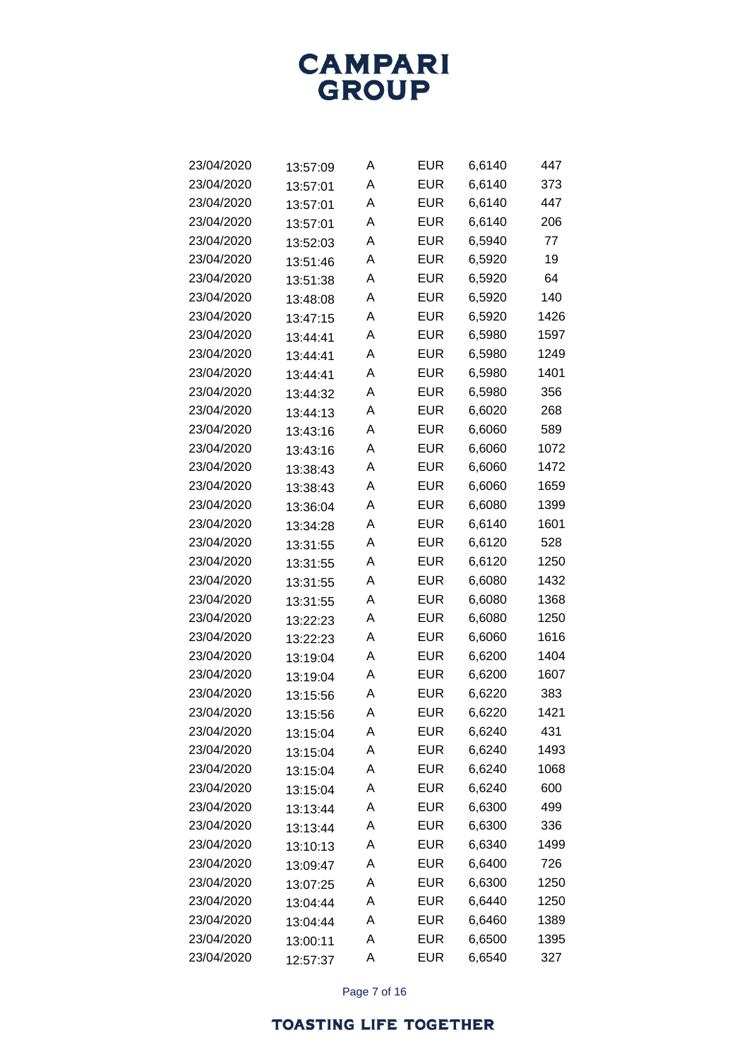

| 23/04/2020 | 13:57:09 | Α | <b>EUR</b> | 6,6140 | 447  |
|------------|----------|---|------------|--------|------|
| 23/04/2020 | 13:57:01 | Α | <b>EUR</b> | 6,6140 | 373  |
| 23/04/2020 | 13:57:01 | Α | <b>EUR</b> | 6,6140 | 447  |
| 23/04/2020 | 13:57:01 | Α | <b>EUR</b> | 6,6140 | 206  |
| 23/04/2020 | 13:52:03 | Α | <b>EUR</b> | 6,5940 | 77   |
| 23/04/2020 | 13:51:46 | Α | <b>EUR</b> | 6,5920 | 19   |
| 23/04/2020 | 13:51:38 | Α | <b>EUR</b> | 6,5920 | 64   |
| 23/04/2020 | 13:48:08 | Α | <b>EUR</b> | 6,5920 | 140  |
| 23/04/2020 | 13:47:15 | Α | <b>EUR</b> | 6,5920 | 1426 |
| 23/04/2020 | 13:44:41 | Α | <b>EUR</b> | 6,5980 | 1597 |
| 23/04/2020 | 13:44:41 | Α | <b>EUR</b> | 6,5980 | 1249 |
| 23/04/2020 | 13:44:41 | Α | <b>EUR</b> | 6,5980 | 1401 |
| 23/04/2020 | 13:44:32 | Α | <b>EUR</b> | 6,5980 | 356  |
| 23/04/2020 | 13:44:13 | Α | <b>EUR</b> | 6,6020 | 268  |
| 23/04/2020 | 13:43:16 | Α | <b>EUR</b> | 6,6060 | 589  |
| 23/04/2020 | 13:43:16 | Α | <b>EUR</b> | 6,6060 | 1072 |
| 23/04/2020 | 13:38:43 | Α | <b>EUR</b> | 6,6060 | 1472 |
| 23/04/2020 | 13:38:43 | Α | <b>EUR</b> | 6,6060 | 1659 |
| 23/04/2020 | 13:36:04 | Α | <b>EUR</b> | 6,6080 | 1399 |
| 23/04/2020 | 13:34:28 | Α | <b>EUR</b> | 6,6140 | 1601 |
| 23/04/2020 | 13:31:55 | Α | <b>EUR</b> | 6,6120 | 528  |
| 23/04/2020 | 13:31:55 | Α | <b>EUR</b> | 6,6120 | 1250 |
| 23/04/2020 | 13:31:55 | Α | <b>EUR</b> | 6,6080 | 1432 |
| 23/04/2020 | 13:31:55 | Α | <b>EUR</b> | 6,6080 | 1368 |
| 23/04/2020 | 13:22:23 | Α | <b>EUR</b> | 6,6080 | 1250 |
| 23/04/2020 | 13:22:23 | Α | <b>EUR</b> | 6,6060 | 1616 |
| 23/04/2020 | 13:19:04 | A | <b>EUR</b> | 6,6200 | 1404 |
| 23/04/2020 | 13:19:04 | Α | <b>EUR</b> | 6,6200 | 1607 |
| 23/04/2020 | 13:15:56 | Α | <b>EUR</b> | 6,6220 | 383  |
| 23/04/2020 | 13:15:56 | Α | <b>EUR</b> | 6,6220 | 1421 |
| 23/04/2020 | 13:15:04 | Α | <b>EUR</b> | 6,6240 | 431  |
| 23/04/2020 | 13:15:04 | Α | <b>EUR</b> | 6,6240 | 1493 |
| 23/04/2020 | 13:15:04 | Α | <b>EUR</b> | 6,6240 | 1068 |
| 23/04/2020 | 13:15:04 | Α | <b>EUR</b> | 6,6240 | 600  |
| 23/04/2020 | 13:13:44 | Α | <b>EUR</b> | 6,6300 | 499  |
| 23/04/2020 | 13:13:44 | Α | <b>EUR</b> | 6,6300 | 336  |
| 23/04/2020 | 13:10:13 | Α | <b>EUR</b> | 6,6340 | 1499 |
| 23/04/2020 | 13:09:47 | Α | <b>EUR</b> | 6,6400 | 726  |
| 23/04/2020 | 13:07:25 | Α | <b>EUR</b> | 6,6300 | 1250 |
| 23/04/2020 | 13:04:44 | Α | <b>EUR</b> | 6,6440 | 1250 |
| 23/04/2020 | 13:04:44 | Α | <b>EUR</b> | 6,6460 | 1389 |
| 23/04/2020 | 13:00:11 | Α | <b>EUR</b> | 6,6500 | 1395 |
| 23/04/2020 | 12:57:37 | Α | <b>EUR</b> | 6,6540 | 327  |
|            |          |   |            |        |      |

Page 7 of 16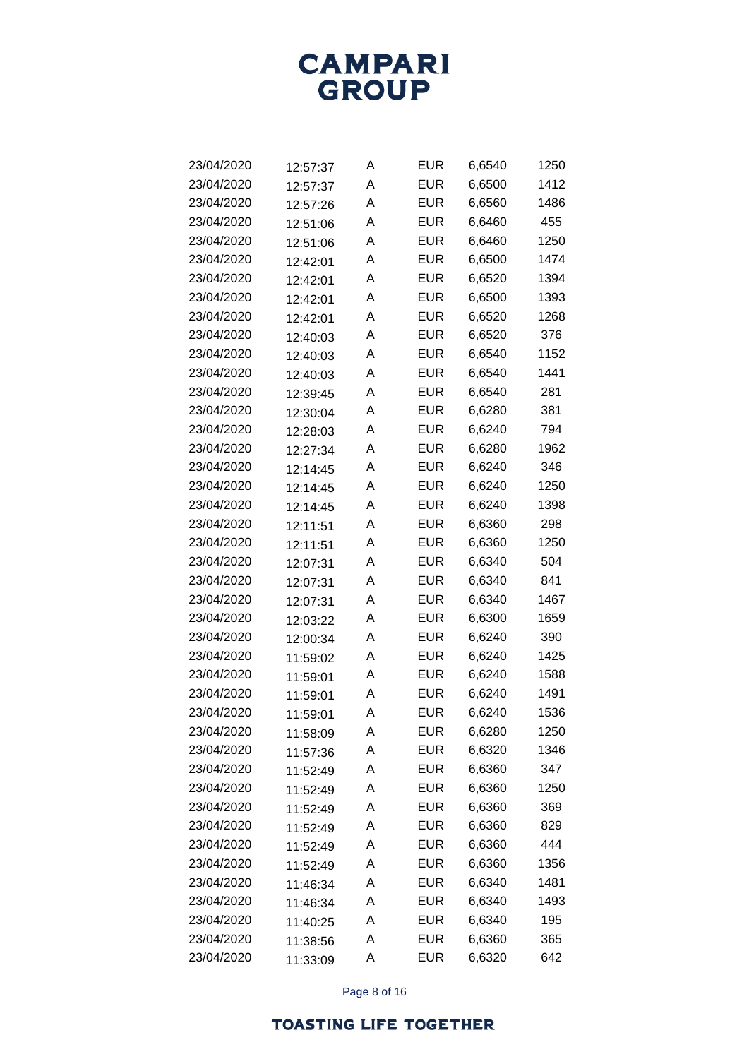

| 23/04/2020 | 12:57:37 | Α | <b>EUR</b> | 6,6540 | 1250 |
|------------|----------|---|------------|--------|------|
| 23/04/2020 | 12:57:37 | Α | <b>EUR</b> | 6,6500 | 1412 |
| 23/04/2020 | 12:57:26 | Α | EUR        | 6,6560 | 1486 |
| 23/04/2020 | 12:51:06 | Α | <b>EUR</b> | 6,6460 | 455  |
| 23/04/2020 | 12:51:06 | Α | <b>EUR</b> | 6,6460 | 1250 |
| 23/04/2020 | 12:42:01 | A | <b>EUR</b> | 6,6500 | 1474 |
| 23/04/2020 | 12:42:01 | A | EUR        | 6,6520 | 1394 |
| 23/04/2020 | 12:42:01 | Α | <b>EUR</b> | 6,6500 | 1393 |
| 23/04/2020 | 12:42:01 | Α | EUR        | 6,6520 | 1268 |
| 23/04/2020 | 12:40:03 | A | <b>EUR</b> | 6,6520 | 376  |
| 23/04/2020 | 12:40:03 | A | EUR        | 6,6540 | 1152 |
| 23/04/2020 | 12:40:03 | Α | <b>EUR</b> | 6,6540 | 1441 |
| 23/04/2020 | 12:39:45 | Α | EUR        | 6,6540 | 281  |
| 23/04/2020 | 12:30:04 | Α | <b>EUR</b> | 6,6280 | 381  |
| 23/04/2020 | 12:28:03 | A | <b>EUR</b> | 6,6240 | 794  |
| 23/04/2020 | 12:27:34 | Α | <b>EUR</b> | 6,6280 | 1962 |
| 23/04/2020 | 12:14:45 | Α | EUR        | 6,6240 | 346  |
| 23/04/2020 | 12:14:45 | A | <b>EUR</b> | 6,6240 | 1250 |
| 23/04/2020 | 12:14:45 | A | <b>EUR</b> | 6,6240 | 1398 |
| 23/04/2020 | 12:11:51 | Α | <b>EUR</b> | 6,6360 | 298  |
| 23/04/2020 | 12:11:51 | Α | EUR        | 6,6360 | 1250 |
| 23/04/2020 | 12:07:31 | A | <b>EUR</b> | 6,6340 | 504  |
| 23/04/2020 | 12:07:31 | A | EUR        | 6,6340 | 841  |
| 23/04/2020 | 12:07:31 | Α | <b>EUR</b> | 6,6340 | 1467 |
| 23/04/2020 | 12:03:22 | Α | EUR        | 6,6300 | 1659 |
| 23/04/2020 | 12:00:34 | A | <b>EUR</b> | 6,6240 | 390  |
| 23/04/2020 | 11:59:02 | A | EUR        | 6,6240 | 1425 |
| 23/04/2020 | 11:59:01 | Α | <b>EUR</b> | 6,6240 | 1588 |
| 23/04/2020 | 11:59:01 | A | EUR        | 6,6240 | 1491 |
| 23/04/2020 | 11:59:01 | Α | <b>EUR</b> | 6,6240 | 1536 |
| 23/04/2020 | 11:58:09 | Α | <b>EUR</b> | 6,6280 | 1250 |
| 23/04/2020 | 11:57:36 | Α | <b>EUR</b> | 6,6320 | 1346 |
| 23/04/2020 | 11:52:49 | Α | <b>EUR</b> | 6,6360 | 347  |
| 23/04/2020 | 11:52:49 | Α | <b>EUR</b> | 6,6360 | 1250 |
| 23/04/2020 | 11:52:49 | Α | <b>EUR</b> | 6,6360 | 369  |
| 23/04/2020 | 11:52:49 | Α | <b>EUR</b> | 6,6360 | 829  |
| 23/04/2020 | 11:52:49 | Α | <b>EUR</b> | 6,6360 | 444  |
| 23/04/2020 | 11:52:49 | Α | <b>EUR</b> | 6,6360 | 1356 |
| 23/04/2020 | 11:46:34 | Α | <b>EUR</b> | 6,6340 | 1481 |
| 23/04/2020 | 11:46:34 | Α | <b>EUR</b> | 6,6340 | 1493 |
| 23/04/2020 | 11:40:25 | Α | <b>EUR</b> | 6,6340 | 195  |
| 23/04/2020 | 11:38:56 | Α | <b>EUR</b> | 6,6360 | 365  |
| 23/04/2020 | 11:33:09 | Α | <b>EUR</b> | 6,6320 | 642  |

Page 8 of 16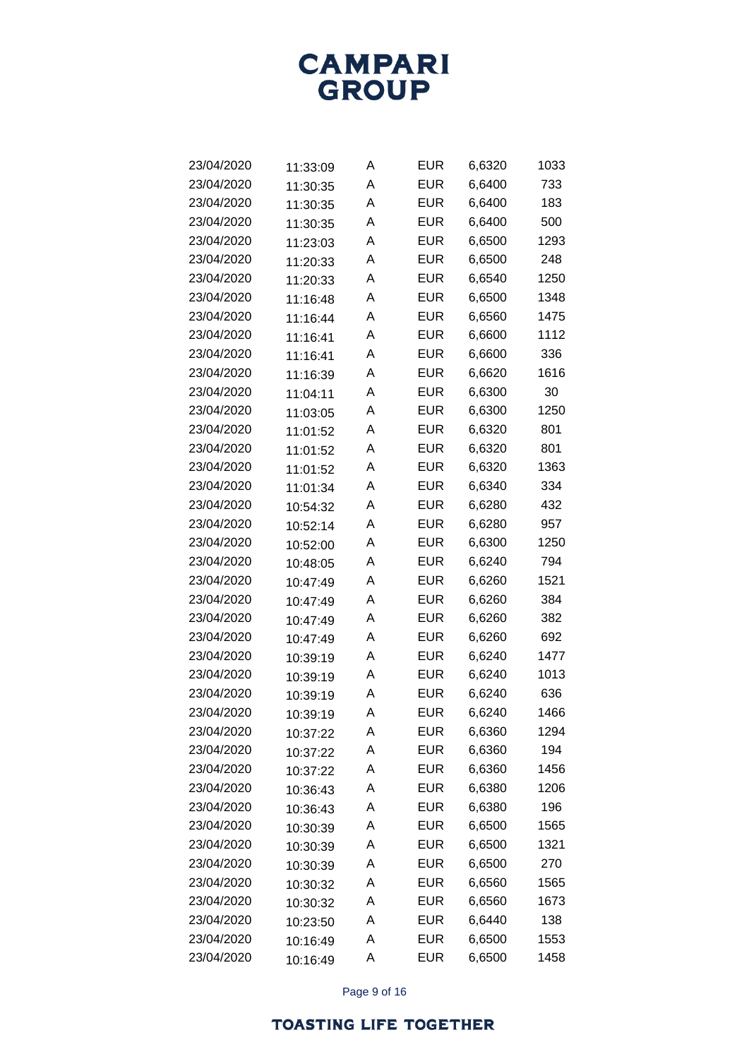

| 23/04/2020 | 11:33:09 | Α | <b>EUR</b> | 6,6320 | 1033 |
|------------|----------|---|------------|--------|------|
| 23/04/2020 | 11:30:35 | Α | <b>EUR</b> | 6,6400 | 733  |
| 23/04/2020 | 11:30:35 | Α | <b>EUR</b> | 6,6400 | 183  |
| 23/04/2020 | 11:30:35 | Α | <b>EUR</b> | 6,6400 | 500  |
| 23/04/2020 | 11:23:03 | Α | <b>EUR</b> | 6,6500 | 1293 |
| 23/04/2020 | 11:20:33 | Α | <b>EUR</b> | 6,6500 | 248  |
| 23/04/2020 | 11:20:33 | Α | <b>EUR</b> | 6,6540 | 1250 |
| 23/04/2020 | 11:16:48 | Α | <b>EUR</b> | 6,6500 | 1348 |
| 23/04/2020 | 11:16:44 | Α | <b>EUR</b> | 6,6560 | 1475 |
| 23/04/2020 | 11:16:41 | Α | <b>EUR</b> | 6,6600 | 1112 |
| 23/04/2020 | 11:16:41 | Α | <b>EUR</b> | 6,6600 | 336  |
| 23/04/2020 | 11:16:39 | Α | <b>EUR</b> | 6,6620 | 1616 |
| 23/04/2020 | 11:04:11 | Α | <b>EUR</b> | 6,6300 | 30   |
| 23/04/2020 | 11:03:05 | Α | <b>EUR</b> | 6,6300 | 1250 |
| 23/04/2020 | 11:01:52 | Α | <b>EUR</b> | 6,6320 | 801  |
| 23/04/2020 | 11:01:52 | Α | <b>EUR</b> | 6,6320 | 801  |
| 23/04/2020 | 11:01:52 | Α | <b>EUR</b> | 6,6320 | 1363 |
| 23/04/2020 | 11:01:34 | Α | <b>EUR</b> | 6,6340 | 334  |
| 23/04/2020 | 10:54:32 | Α | <b>EUR</b> | 6,6280 | 432  |
| 23/04/2020 | 10:52:14 | Α | <b>EUR</b> | 6,6280 | 957  |
| 23/04/2020 | 10:52:00 | Α | <b>EUR</b> | 6,6300 | 1250 |
| 23/04/2020 | 10:48:05 | Α | <b>EUR</b> | 6,6240 | 794  |
| 23/04/2020 | 10:47:49 | Α | <b>EUR</b> | 6,6260 | 1521 |
| 23/04/2020 | 10:47:49 | Α | <b>EUR</b> | 6,6260 | 384  |
| 23/04/2020 | 10:47:49 | Α | <b>EUR</b> | 6,6260 | 382  |
| 23/04/2020 | 10:47:49 | Α | <b>EUR</b> | 6,6260 | 692  |
| 23/04/2020 | 10:39:19 | Α | <b>EUR</b> | 6,6240 | 1477 |
| 23/04/2020 | 10:39:19 | Α | <b>EUR</b> | 6,6240 | 1013 |
| 23/04/2020 | 10:39:19 | Α | <b>EUR</b> | 6,6240 | 636  |
| 23/04/2020 | 10:39:19 | Α | <b>EUR</b> | 6,6240 | 1466 |
| 23/04/2020 | 10:37:22 | Α | <b>EUR</b> | 6,6360 | 1294 |
| 23/04/2020 | 10:37:22 | Α | <b>EUR</b> | 6,6360 | 194  |
| 23/04/2020 | 10:37:22 | Α | <b>EUR</b> | 6,6360 | 1456 |
| 23/04/2020 | 10:36:43 | Α | <b>EUR</b> | 6,6380 | 1206 |
| 23/04/2020 | 10:36:43 | Α | <b>EUR</b> | 6,6380 | 196  |
| 23/04/2020 | 10:30:39 | Α | <b>EUR</b> | 6,6500 | 1565 |
| 23/04/2020 | 10:30:39 | Α | <b>EUR</b> | 6,6500 | 1321 |
| 23/04/2020 | 10:30:39 | Α | <b>EUR</b> | 6,6500 | 270  |
| 23/04/2020 | 10:30:32 | Α | <b>EUR</b> | 6,6560 | 1565 |
| 23/04/2020 | 10:30:32 | Α | <b>EUR</b> | 6,6560 | 1673 |
| 23/04/2020 | 10:23:50 | Α | <b>EUR</b> | 6,6440 | 138  |
| 23/04/2020 | 10:16:49 | Α | <b>EUR</b> | 6,6500 | 1553 |
| 23/04/2020 | 10:16:49 | Α | <b>EUR</b> | 6,6500 | 1458 |

Page 9 of 16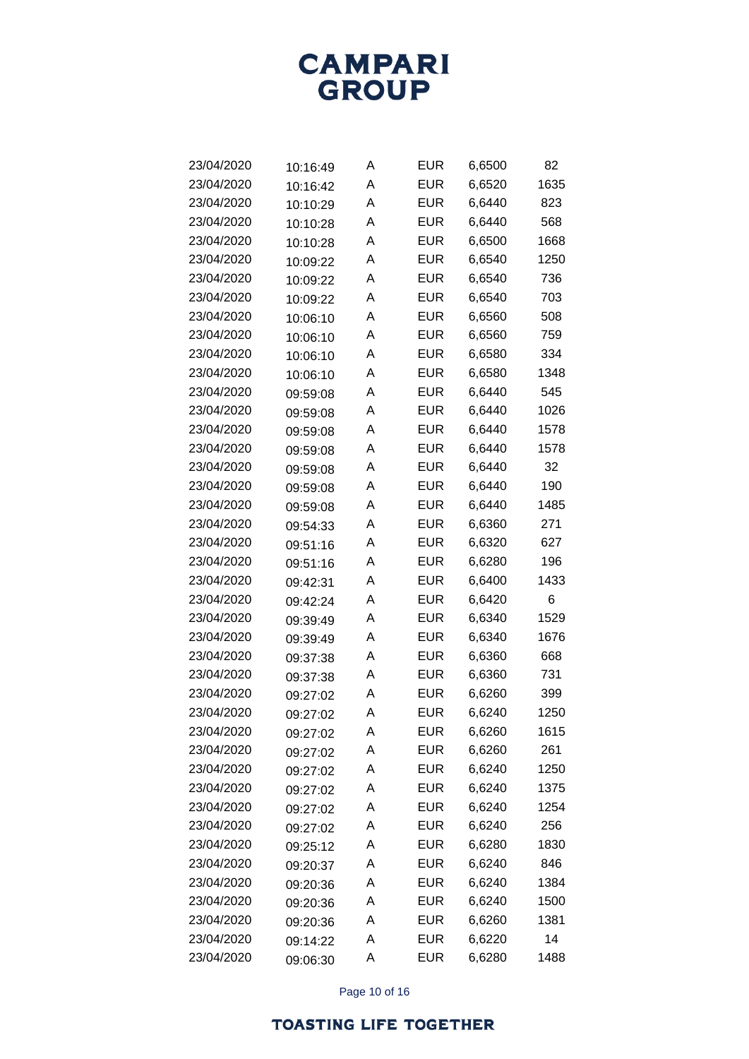

| 23/04/2020 | 10:16:49 | Α | <b>EUR</b> | 6,6500 | 82   |
|------------|----------|---|------------|--------|------|
| 23/04/2020 | 10:16:42 | Α | <b>EUR</b> | 6,6520 | 1635 |
| 23/04/2020 | 10:10:29 | Α | <b>EUR</b> | 6,6440 | 823  |
| 23/04/2020 | 10:10:28 | Α | <b>EUR</b> | 6,6440 | 568  |
| 23/04/2020 | 10:10:28 | Α | <b>EUR</b> | 6,6500 | 1668 |
| 23/04/2020 | 10:09:22 | Α | <b>EUR</b> | 6,6540 | 1250 |
| 23/04/2020 | 10:09:22 | A | <b>EUR</b> | 6,6540 | 736  |
| 23/04/2020 | 10:09:22 | Α | <b>EUR</b> | 6,6540 | 703  |
| 23/04/2020 | 10:06:10 | Α | <b>EUR</b> | 6,6560 | 508  |
| 23/04/2020 | 10:06:10 | Α | <b>EUR</b> | 6,6560 | 759  |
| 23/04/2020 | 10:06:10 | A | <b>EUR</b> | 6,6580 | 334  |
| 23/04/2020 | 10:06:10 | Α | <b>EUR</b> | 6,6580 | 1348 |
| 23/04/2020 | 09:59:08 | Α | <b>EUR</b> | 6,6440 | 545  |
| 23/04/2020 | 09:59:08 | A | <b>EUR</b> | 6,6440 | 1026 |
| 23/04/2020 | 09:59:08 | A | <b>EUR</b> | 6,6440 | 1578 |
| 23/04/2020 | 09:59:08 | Α | <b>EUR</b> | 6,6440 | 1578 |
| 23/04/2020 | 09:59:08 | Α | <b>EUR</b> | 6,6440 | 32   |
| 23/04/2020 | 09:59:08 | A | <b>EUR</b> | 6,6440 | 190  |
| 23/04/2020 | 09:59:08 | A | <b>EUR</b> | 6,6440 | 1485 |
| 23/04/2020 | 09:54:33 | Α | <b>EUR</b> | 6,6360 | 271  |
| 23/04/2020 | 09:51:16 | Α | <b>EUR</b> | 6,6320 | 627  |
| 23/04/2020 | 09:51:16 | Α | <b>EUR</b> | 6,6280 | 196  |
| 23/04/2020 | 09:42:31 | Α | <b>EUR</b> | 6,6400 | 1433 |
| 23/04/2020 | 09:42:24 | Α | <b>EUR</b> | 6,6420 | 6    |
| 23/04/2020 | 09:39:49 | Α | <b>EUR</b> | 6,6340 | 1529 |
| 23/04/2020 | 09:39:49 | Α | <b>EUR</b> | 6,6340 | 1676 |
| 23/04/2020 | 09:37:38 | Α | <b>EUR</b> | 6,6360 | 668  |
| 23/04/2020 | 09:37:38 | Α | <b>EUR</b> | 6,6360 | 731  |
| 23/04/2020 | 09:27:02 | Α | <b>EUR</b> | 6,6260 | 399  |
| 23/04/2020 | 09:27:02 | Α | <b>EUR</b> | 6,6240 | 1250 |
| 23/04/2020 | 09:27:02 | Α | <b>EUR</b> | 6,6260 | 1615 |
| 23/04/2020 | 09:27:02 | Α | <b>EUR</b> | 6,6260 | 261  |
| 23/04/2020 | 09:27:02 | Α | <b>EUR</b> | 6,6240 | 1250 |
| 23/04/2020 | 09:27:02 | Α | <b>EUR</b> | 6,6240 | 1375 |
| 23/04/2020 | 09:27:02 | Α | <b>EUR</b> | 6,6240 | 1254 |
| 23/04/2020 | 09:27:02 | Α | <b>EUR</b> | 6,6240 | 256  |
| 23/04/2020 | 09:25:12 | Α | <b>EUR</b> | 6,6280 | 1830 |
| 23/04/2020 | 09:20:37 | Α | <b>EUR</b> | 6,6240 | 846  |
| 23/04/2020 | 09:20:36 | Α | <b>EUR</b> | 6,6240 | 1384 |
| 23/04/2020 | 09:20:36 | Α | <b>EUR</b> | 6,6240 | 1500 |
| 23/04/2020 | 09:20:36 | Α | <b>EUR</b> | 6,6260 | 1381 |
| 23/04/2020 | 09:14:22 | Α | <b>EUR</b> | 6,6220 | 14   |
| 23/04/2020 | 09:06:30 | Α | <b>EUR</b> | 6,6280 | 1488 |

Page 10 of 16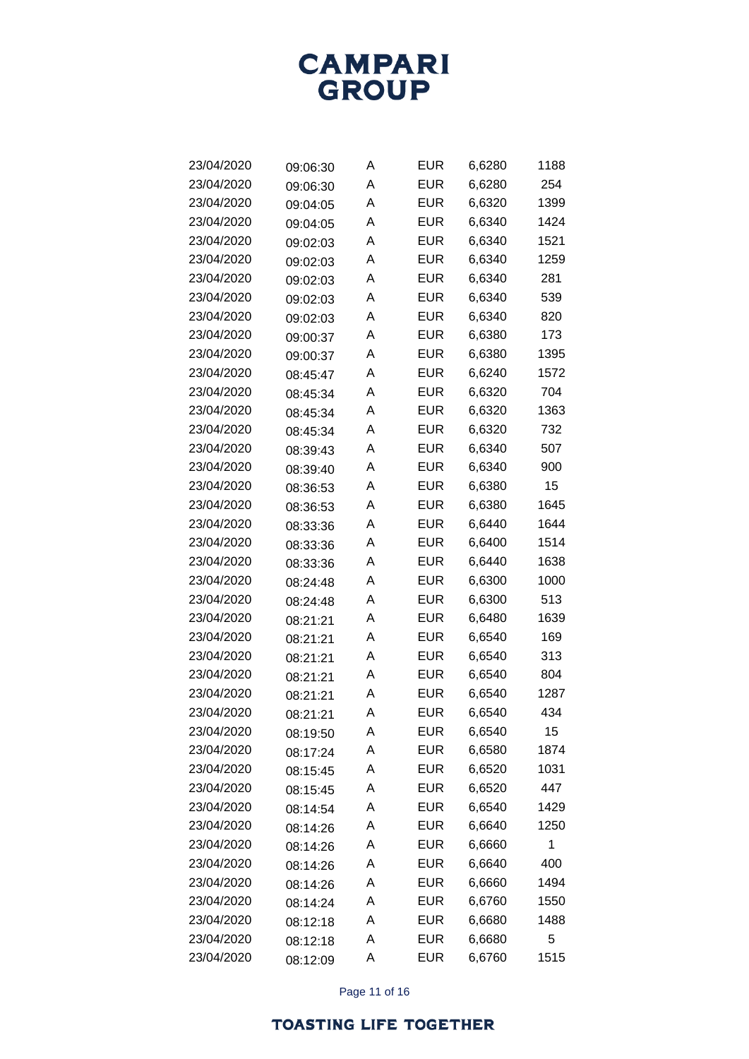

| 23/04/2020 | 09:06:30 | Α | <b>EUR</b> | 6,6280 | 1188 |
|------------|----------|---|------------|--------|------|
| 23/04/2020 | 09:06:30 | Α | <b>EUR</b> | 6,6280 | 254  |
| 23/04/2020 | 09:04:05 | Α | <b>EUR</b> | 6,6320 | 1399 |
| 23/04/2020 | 09:04:05 | Α | <b>EUR</b> | 6,6340 | 1424 |
| 23/04/2020 | 09:02:03 | Α | <b>EUR</b> | 6,6340 | 1521 |
| 23/04/2020 | 09:02:03 | Α | <b>EUR</b> | 6,6340 | 1259 |
| 23/04/2020 | 09:02:03 | A | <b>EUR</b> | 6,6340 | 281  |
| 23/04/2020 | 09:02:03 | Α | <b>EUR</b> | 6,6340 | 539  |
| 23/04/2020 | 09:02:03 | Α | <b>EUR</b> | 6,6340 | 820  |
| 23/04/2020 | 09:00:37 | Α | <b>EUR</b> | 6,6380 | 173  |
| 23/04/2020 | 09:00:37 | A | <b>EUR</b> | 6,6380 | 1395 |
| 23/04/2020 | 08:45:47 | Α | <b>EUR</b> | 6,6240 | 1572 |
| 23/04/2020 | 08:45:34 | Α | <b>EUR</b> | 6,6320 | 704  |
| 23/04/2020 | 08:45:34 | Α | <b>EUR</b> | 6,6320 | 1363 |
| 23/04/2020 | 08:45:34 | Α | <b>EUR</b> | 6,6320 | 732  |
| 23/04/2020 | 08:39:43 | Α | <b>EUR</b> | 6,6340 | 507  |
| 23/04/2020 | 08:39:40 | Α | <b>EUR</b> | 6,6340 | 900  |
| 23/04/2020 | 08:36:53 | Α | <b>EUR</b> | 6,6380 | 15   |
| 23/04/2020 | 08:36:53 | A | <b>EUR</b> | 6,6380 | 1645 |
| 23/04/2020 | 08:33:36 | Α | <b>EUR</b> | 6,6440 | 1644 |
| 23/04/2020 | 08:33:36 | Α | <b>EUR</b> | 6,6400 | 1514 |
| 23/04/2020 | 08:33:36 | Α | <b>EUR</b> | 6,6440 | 1638 |
| 23/04/2020 | 08:24:48 | A | <b>EUR</b> | 6,6300 | 1000 |
| 23/04/2020 | 08:24:48 | Α | <b>EUR</b> | 6,6300 | 513  |
| 23/04/2020 | 08:21:21 | Α | <b>EUR</b> | 6,6480 | 1639 |
| 23/04/2020 | 08:21:21 | Α | <b>EUR</b> | 6,6540 | 169  |
| 23/04/2020 | 08:21:21 | Α | <b>EUR</b> | 6,6540 | 313  |
| 23/04/2020 | 08:21:21 | Α | <b>EUR</b> | 6,6540 | 804  |
| 23/04/2020 | 08:21:21 | Α | <b>EUR</b> | 6,6540 | 1287 |
| 23/04/2020 | 08:21:21 | Α | EUR        | 6,6540 | 434  |
| 23/04/2020 | 08:19:50 | Α | <b>EUR</b> | 6,6540 | 15   |
| 23/04/2020 | 08:17:24 | Α | <b>EUR</b> | 6,6580 | 1874 |
| 23/04/2020 | 08:15:45 | Α | <b>EUR</b> | 6,6520 | 1031 |
| 23/04/2020 | 08:15:45 | Α | <b>EUR</b> | 6,6520 | 447  |
| 23/04/2020 | 08:14:54 | Α | <b>EUR</b> | 6,6540 | 1429 |
| 23/04/2020 | 08:14:26 | Α | <b>EUR</b> | 6,6640 | 1250 |
| 23/04/2020 | 08:14:26 | Α | <b>EUR</b> | 6,6660 | 1    |
| 23/04/2020 | 08:14:26 | Α | <b>EUR</b> | 6,6640 | 400  |
| 23/04/2020 | 08:14:26 | Α | <b>EUR</b> | 6,6660 | 1494 |
| 23/04/2020 | 08:14:24 | Α | <b>EUR</b> | 6,6760 | 1550 |
| 23/04/2020 | 08:12:18 | Α | <b>EUR</b> | 6,6680 | 1488 |
| 23/04/2020 | 08:12:18 | Α | <b>EUR</b> | 6,6680 | 5    |
| 23/04/2020 | 08:12:09 | Α | <b>EUR</b> | 6,6760 | 1515 |

Page 11 of 16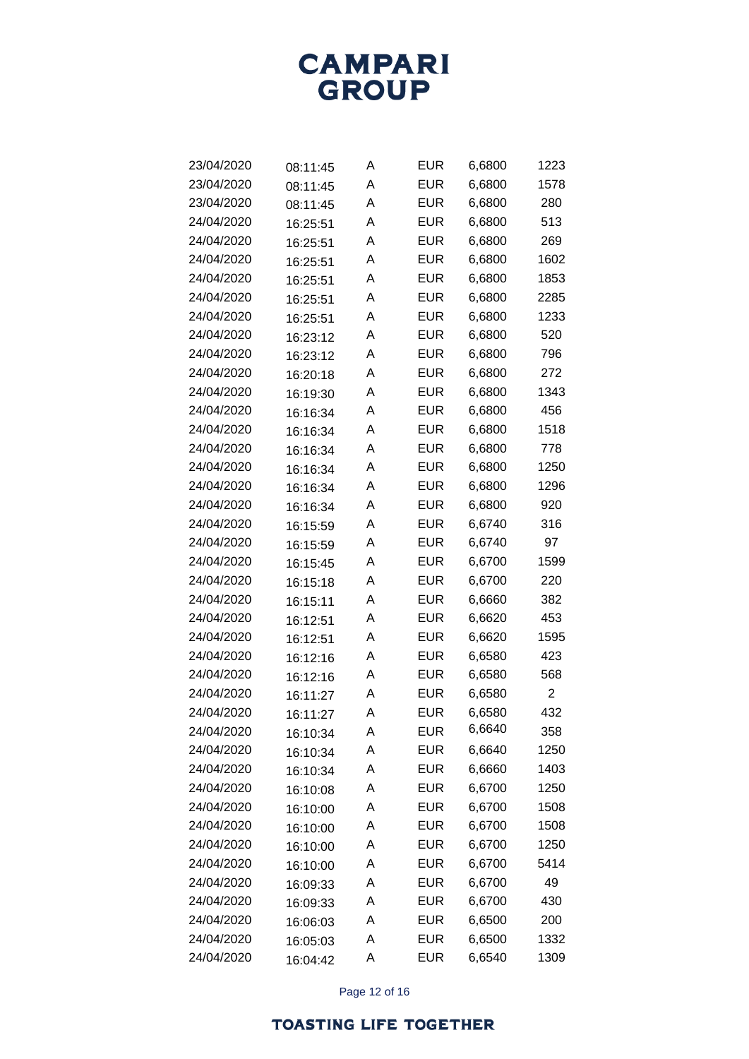

| 23/04/2020 | 08:11:45 | Α | <b>EUR</b> | 6,6800 | 1223           |
|------------|----------|---|------------|--------|----------------|
| 23/04/2020 | 08:11:45 | Α | <b>EUR</b> | 6,6800 | 1578           |
| 23/04/2020 | 08:11:45 | Α | EUR        | 6,6800 | 280            |
| 24/04/2020 | 16:25:51 | Α | <b>EUR</b> | 6,6800 | 513            |
| 24/04/2020 | 16:25:51 | A | <b>EUR</b> | 6,6800 | 269            |
| 24/04/2020 | 16:25:51 | A | <b>EUR</b> | 6,6800 | 1602           |
| 24/04/2020 | 16:25:51 | A | <b>EUR</b> | 6,6800 | 1853           |
| 24/04/2020 | 16:25:51 | A | <b>EUR</b> | 6,6800 | 2285           |
| 24/04/2020 | 16:25:51 | A | <b>EUR</b> | 6,6800 | 1233           |
| 24/04/2020 | 16:23:12 | A | <b>EUR</b> | 6,6800 | 520            |
| 24/04/2020 | 16:23:12 | A | <b>EUR</b> | 6,6800 | 796            |
| 24/04/2020 | 16:20:18 | A | <b>EUR</b> | 6,6800 | 272            |
| 24/04/2020 | 16:19:30 | A | <b>EUR</b> | 6,6800 | 1343           |
| 24/04/2020 | 16:16:34 | A | <b>EUR</b> | 6,6800 | 456            |
| 24/04/2020 | 16:16:34 | A | <b>EUR</b> | 6,6800 | 1518           |
| 24/04/2020 | 16:16:34 | Α | <b>EUR</b> | 6,6800 | 778            |
| 24/04/2020 | 16:16:34 | A | <b>EUR</b> | 6,6800 | 1250           |
| 24/04/2020 | 16:16:34 | A | <b>EUR</b> | 6,6800 | 1296           |
| 24/04/2020 | 16:16:34 | A | <b>EUR</b> | 6,6800 | 920            |
| 24/04/2020 | 16:15:59 | A | <b>EUR</b> | 6,6740 | 316            |
| 24/04/2020 | 16:15:59 | A | <b>EUR</b> | 6,6740 | 97             |
| 24/04/2020 | 16:15:45 | A | <b>EUR</b> | 6,6700 | 1599           |
| 24/04/2020 | 16:15:18 | A | <b>EUR</b> | 6,6700 | 220            |
| 24/04/2020 | 16:15:11 | A | <b>EUR</b> | 6,6660 | 382            |
| 24/04/2020 | 16:12:51 | A | <b>EUR</b> | 6,6620 | 453            |
| 24/04/2020 | 16:12:51 | A | <b>EUR</b> | 6,6620 | 1595           |
| 24/04/2020 | 16:12:16 | A | <b>EUR</b> | 6,6580 | 423            |
| 24/04/2020 | 16:12:16 | A | <b>EUR</b> | 6,6580 | 568            |
| 24/04/2020 | 16:11:27 | A | <b>EUR</b> | 6,6580 | $\overline{c}$ |
| 24/04/2020 | 16:11:27 | Α | EUR        | 6,6580 | 432            |
| 24/04/2020 | 16:10:34 | Α | <b>EUR</b> | 6,6640 | 358            |
| 24/04/2020 | 16:10:34 | Α | <b>EUR</b> | 6,6640 | 1250           |
| 24/04/2020 | 16:10:34 | Α | <b>EUR</b> | 6,6660 | 1403           |
| 24/04/2020 | 16:10:08 | A | <b>EUR</b> | 6,6700 | 1250           |
| 24/04/2020 | 16:10:00 | Α | <b>EUR</b> | 6,6700 | 1508           |
| 24/04/2020 | 16:10:00 | Α | <b>EUR</b> | 6,6700 | 1508           |
| 24/04/2020 | 16:10:00 | Α | <b>EUR</b> | 6,6700 | 1250           |
| 24/04/2020 | 16:10:00 | A | <b>EUR</b> | 6,6700 | 5414           |
| 24/04/2020 | 16:09:33 | Α | <b>EUR</b> | 6,6700 | 49             |
| 24/04/2020 | 16:09:33 | Α | <b>EUR</b> | 6,6700 | 430            |
| 24/04/2020 | 16:06:03 | Α | <b>EUR</b> | 6,6500 | 200            |
| 24/04/2020 | 16:05:03 | A | <b>EUR</b> | 6,6500 | 1332           |
| 24/04/2020 | 16:04:42 | Α | <b>EUR</b> | 6,6540 | 1309           |

Page 12 of 16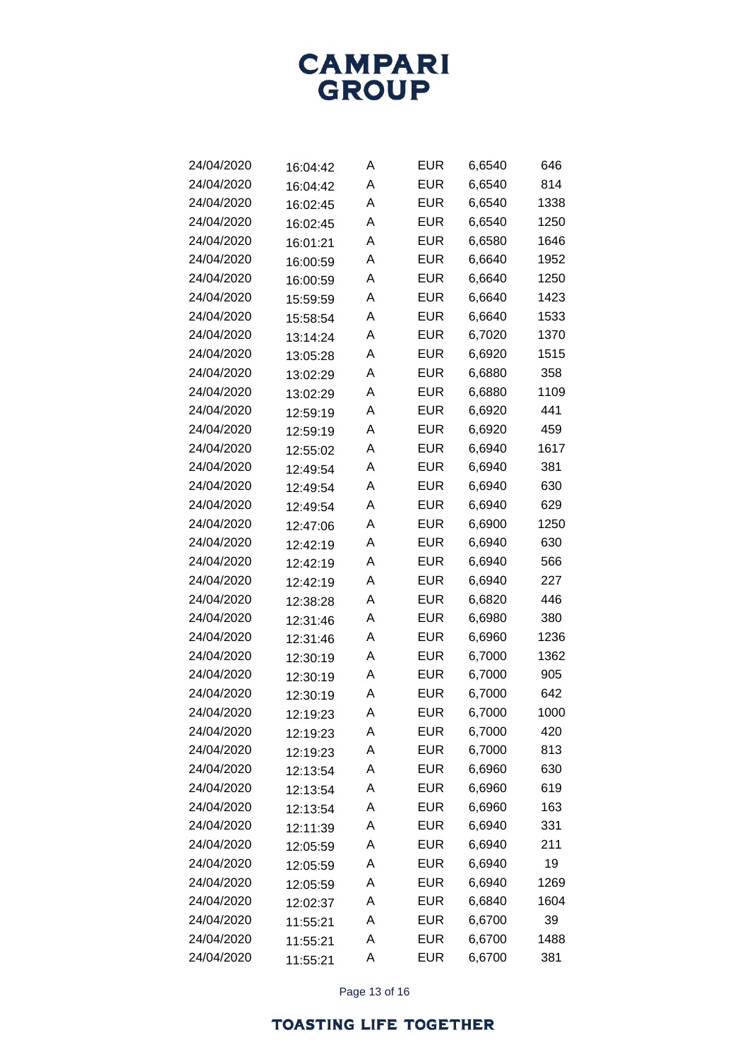

| 24/04/2020 | 16:04:42 | Α | <b>EUR</b> | 6,6540 | 646  |
|------------|----------|---|------------|--------|------|
| 24/04/2020 | 16:04:42 | Α | <b>EUR</b> | 6,6540 | 814  |
| 24/04/2020 | 16:02:45 | Α | <b>EUR</b> | 6,6540 | 1338 |
| 24/04/2020 | 16:02:45 | Α | <b>EUR</b> | 6,6540 | 1250 |
| 24/04/2020 | 16:01:21 | Α | <b>EUR</b> | 6,6580 | 1646 |
| 24/04/2020 | 16:00:59 | A | <b>EUR</b> | 6,6640 | 1952 |
| 24/04/2020 | 16:00:59 | A | <b>EUR</b> | 6,6640 | 1250 |
| 24/04/2020 | 15:59:59 | Α | <b>EUR</b> | 6,6640 | 1423 |
| 24/04/2020 | 15:58:54 | A | <b>EUR</b> | 6,6640 | 1533 |
| 24/04/2020 | 13:14:24 | A | <b>EUR</b> | 6,7020 | 1370 |
| 24/04/2020 | 13:05:28 | A | <b>EUR</b> | 6,6920 | 1515 |
| 24/04/2020 | 13:02:29 | Α | <b>EUR</b> | 6,6880 | 358  |
| 24/04/2020 | 13:02:29 | A | <b>EUR</b> | 6,6880 | 1109 |
| 24/04/2020 | 12:59:19 | A | <b>EUR</b> | 6,6920 | 441  |
| 24/04/2020 | 12:59:19 | Α | <b>EUR</b> | 6,6920 | 459  |
| 24/04/2020 | 12:55:02 | Α | <b>EUR</b> | 6,6940 | 1617 |
| 24/04/2020 | 12:49:54 | A | <b>EUR</b> | 6,6940 | 381  |
| 24/04/2020 | 12:49:54 | A | <b>EUR</b> | 6,6940 | 630  |
| 24/04/2020 | 12:49:54 | Α | <b>EUR</b> | 6,6940 | 629  |
| 24/04/2020 | 12:47:06 | Α | <b>EUR</b> | 6,6900 | 1250 |
| 24/04/2020 | 12:42:19 | A | <b>EUR</b> | 6,6940 | 630  |
| 24/04/2020 | 12:42:19 | A | <b>EUR</b> | 6,6940 | 566  |
| 24/04/2020 | 12:42:19 | Α | <b>EUR</b> | 6,6940 | 227  |
| 24/04/2020 | 12:38:28 | Α | <b>EUR</b> | 6,6820 | 446  |
| 24/04/2020 | 12:31:46 | A | <b>EUR</b> | 6,6980 | 380  |
| 24/04/2020 | 12:31:46 | A | <b>EUR</b> | 6,6960 | 1236 |
| 24/04/2020 | 12:30:19 | Α | <b>EUR</b> | 6,7000 | 1362 |
| 24/04/2020 | 12:30:19 | A | <b>EUR</b> | 6,7000 | 905  |
| 24/04/2020 | 12:30:19 | A | <b>EUR</b> | 6,7000 | 642  |
| 24/04/2020 | 12:19:23 | Α | <b>EUR</b> | 6,7000 | 1000 |
| 24/04/2020 | 12:19:23 | Α | <b>EUR</b> | 6,7000 | 420  |
| 24/04/2020 | 12:19:23 | Α | <b>EUR</b> | 6,7000 | 813  |
| 24/04/2020 | 12:13:54 | Α | <b>EUR</b> | 6,6960 | 630  |
| 24/04/2020 | 12:13:54 | Α | <b>EUR</b> | 6,6960 | 619  |
| 24/04/2020 | 12:13:54 | Α | <b>EUR</b> | 6,6960 | 163  |
| 24/04/2020 | 12:11:39 | Α | <b>EUR</b> | 6,6940 | 331  |
| 24/04/2020 | 12:05:59 | Α | <b>EUR</b> | 6,6940 | 211  |
| 24/04/2020 | 12:05:59 | Α | <b>EUR</b> | 6,6940 | 19   |
| 24/04/2020 | 12:05:59 | Α | <b>EUR</b> | 6,6940 | 1269 |
| 24/04/2020 | 12:02:37 | Α | <b>EUR</b> | 6,6840 | 1604 |
| 24/04/2020 | 11:55:21 | Α | <b>EUR</b> | 6,6700 | 39   |
| 24/04/2020 | 11:55:21 | A | <b>EUR</b> | 6,6700 | 1488 |
| 24/04/2020 | 11:55:21 | Α | <b>EUR</b> | 6,6700 | 381  |

Page 13 of 16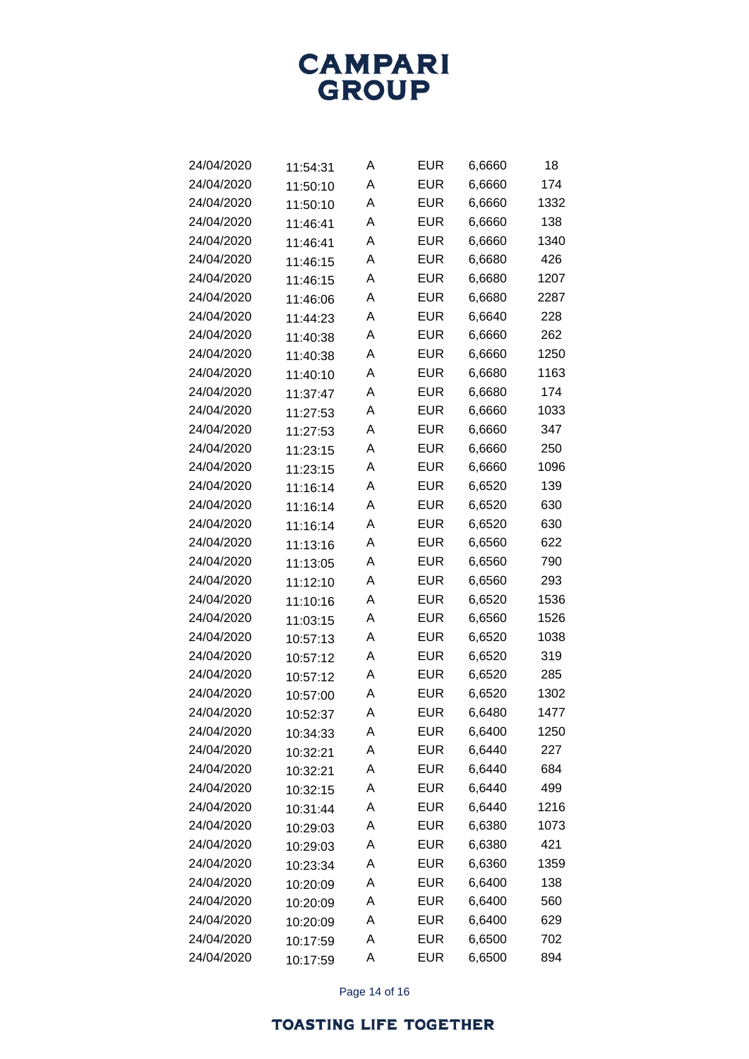

| 24/04/2020 | 11:54:31 | Α | <b>EUR</b> | 6,6660 | 18   |
|------------|----------|---|------------|--------|------|
| 24/04/2020 | 11:50:10 | A | <b>EUR</b> | 6,6660 | 174  |
| 24/04/2020 | 11:50:10 | A | <b>EUR</b> | 6,6660 | 1332 |
| 24/04/2020 | 11:46:41 | Α | <b>EUR</b> | 6,6660 | 138  |
| 24/04/2020 | 11:46:41 | A | <b>EUR</b> | 6,6660 | 1340 |
| 24/04/2020 | 11:46:15 | A | <b>EUR</b> | 6,6680 | 426  |
| 24/04/2020 | 11:46:15 | A | <b>EUR</b> | 6,6680 | 1207 |
| 24/04/2020 | 11:46:06 | A | <b>EUR</b> | 6,6680 | 2287 |
| 24/04/2020 | 11:44:23 | A | <b>EUR</b> | 6,6640 | 228  |
| 24/04/2020 | 11:40:38 | A | <b>EUR</b> | 6,6660 | 262  |
| 24/04/2020 | 11:40:38 | A | <b>EUR</b> | 6,6660 | 1250 |
| 24/04/2020 | 11:40:10 | A | <b>EUR</b> | 6,6680 | 1163 |
| 24/04/2020 | 11:37:47 | A | <b>EUR</b> | 6,6680 | 174  |
| 24/04/2020 | 11:27:53 | A | <b>EUR</b> | 6,6660 | 1033 |
| 24/04/2020 | 11:27:53 | A | <b>EUR</b> | 6,6660 | 347  |
| 24/04/2020 | 11:23:15 | A | <b>EUR</b> | 6,6660 | 250  |
| 24/04/2020 | 11:23:15 | A | <b>EUR</b> | 6,6660 | 1096 |
| 24/04/2020 | 11:16:14 | A | <b>EUR</b> | 6,6520 | 139  |
| 24/04/2020 | 11:16:14 | A | <b>EUR</b> | 6,6520 | 630  |
| 24/04/2020 | 11:16:14 | A | <b>EUR</b> | 6,6520 | 630  |
| 24/04/2020 | 11:13:16 | A | <b>EUR</b> | 6,6560 | 622  |
| 24/04/2020 | 11:13:05 | A | <b>EUR</b> | 6,6560 | 790  |
| 24/04/2020 | 11:12:10 | A | <b>EUR</b> | 6,6560 | 293  |
| 24/04/2020 | 11:10:16 | A | <b>EUR</b> | 6,6520 | 1536 |
| 24/04/2020 | 11:03:15 | A | <b>EUR</b> | 6,6560 | 1526 |
| 24/04/2020 | 10:57:13 | A | <b>EUR</b> | 6,6520 | 1038 |
| 24/04/2020 | 10:57:12 | A | <b>EUR</b> | 6,6520 | 319  |
| 24/04/2020 | 10:57:12 | A | <b>EUR</b> | 6,6520 | 285  |
| 24/04/2020 | 10:57:00 | A | <b>EUR</b> | 6,6520 | 1302 |
| 24/04/2020 | 10:52:37 | A | EUR        | 6,6480 | 1477 |
| 24/04/2020 | 10:34:33 | Α | <b>EUR</b> | 6,6400 | 1250 |
| 24/04/2020 | 10:32:21 | Α | <b>EUR</b> | 6,6440 | 227  |
| 24/04/2020 | 10:32:21 | Α | <b>EUR</b> | 6,6440 | 684  |
| 24/04/2020 | 10:32:15 | Α | <b>EUR</b> | 6,6440 | 499  |
| 24/04/2020 | 10:31:44 | Α | <b>EUR</b> | 6,6440 | 1216 |
| 24/04/2020 | 10:29:03 | Α | <b>EUR</b> | 6,6380 | 1073 |
| 24/04/2020 | 10:29:03 | Α | <b>EUR</b> | 6,6380 | 421  |
| 24/04/2020 | 10:23:34 | Α | <b>EUR</b> | 6,6360 | 1359 |
| 24/04/2020 | 10:20:09 | Α | <b>EUR</b> | 6,6400 | 138  |
| 24/04/2020 | 10:20:09 | Α | <b>EUR</b> | 6,6400 | 560  |
| 24/04/2020 | 10:20:09 | Α | <b>EUR</b> | 6,6400 | 629  |
| 24/04/2020 | 10:17:59 | Α | <b>EUR</b> | 6,6500 | 702  |
| 24/04/2020 | 10:17:59 | Α | <b>EUR</b> | 6,6500 | 894  |

Page 14 of 16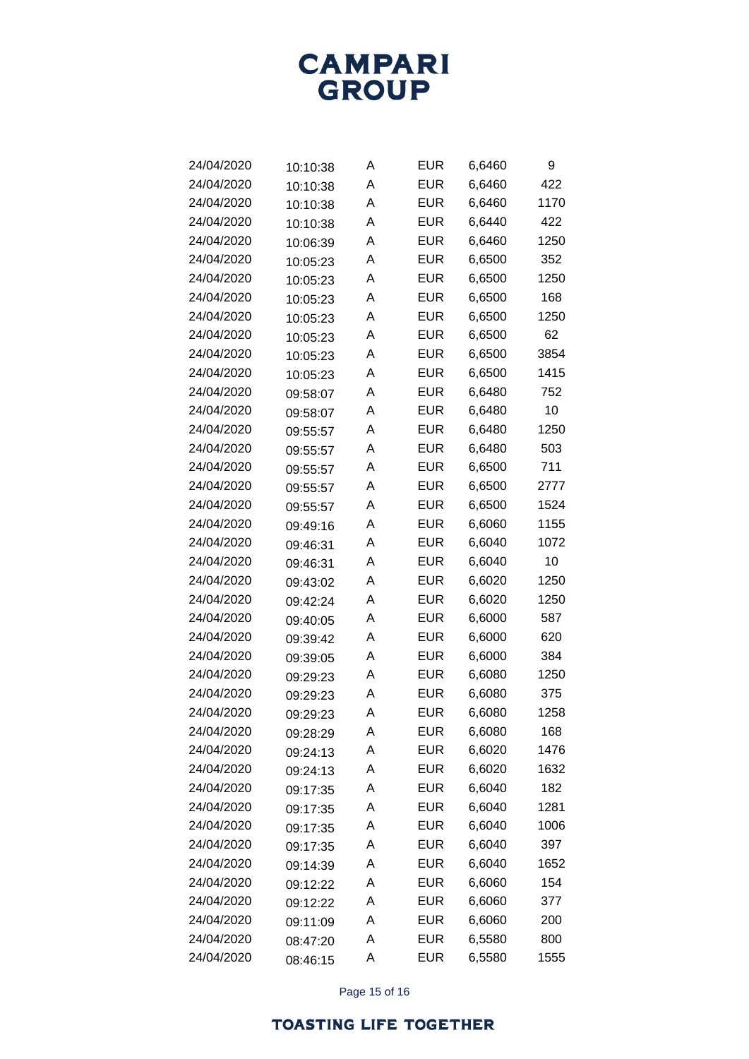

| 24/04/2020 | 10:10:38 | Α | EUR        | 6,6460 | 9    |
|------------|----------|---|------------|--------|------|
| 24/04/2020 | 10:10:38 | A | <b>EUR</b> | 6,6460 | 422  |
| 24/04/2020 | 10:10:38 | A | EUR        | 6,6460 | 1170 |
| 24/04/2020 | 10:10:38 | A | <b>EUR</b> | 6,6440 | 422  |
| 24/04/2020 | 10:06:39 | A | EUR        | 6,6460 | 1250 |
| 24/04/2020 | 10:05:23 | A | EUR        | 6,6500 | 352  |
| 24/04/2020 | 10:05:23 | A | EUR        | 6,6500 | 1250 |
| 24/04/2020 | 10:05:23 | A | <b>EUR</b> | 6,6500 | 168  |
| 24/04/2020 | 10:05:23 | A | EUR        | 6,6500 | 1250 |
| 24/04/2020 | 10:05:23 | A | EUR        | 6,6500 | 62   |
| 24/04/2020 | 10:05:23 | A | EUR        | 6,6500 | 3854 |
| 24/04/2020 | 10:05:23 | A | <b>EUR</b> | 6,6500 | 1415 |
| 24/04/2020 | 09:58:07 | A | EUR        | 6,6480 | 752  |
| 24/04/2020 | 09:58:07 | A | <b>EUR</b> | 6,6480 | 10   |
| 24/04/2020 | 09:55:57 | A | <b>EUR</b> | 6,6480 | 1250 |
| 24/04/2020 | 09:55:57 | A | <b>EUR</b> | 6,6480 | 503  |
| 24/04/2020 | 09:55:57 | A | EUR        | 6,6500 | 711  |
| 24/04/2020 | 09:55:57 | A | EUR        | 6,6500 | 2777 |
| 24/04/2020 | 09:55:57 | A | EUR        | 6,6500 | 1524 |
| 24/04/2020 | 09:49:16 | A | <b>EUR</b> | 6,6060 | 1155 |
| 24/04/2020 | 09:46:31 | A | EUR        | 6,6040 | 1072 |
| 24/04/2020 | 09:46:31 | A | EUR        | 6,6040 | 10   |
| 24/04/2020 | 09:43:02 | A | EUR        | 6,6020 | 1250 |
| 24/04/2020 | 09:42:24 | A | <b>EUR</b> | 6,6020 | 1250 |
| 24/04/2020 | 09:40:05 | A | EUR        | 6,6000 | 587  |
| 24/04/2020 | 09:39:42 | A | EUR        | 6,6000 | 620  |
| 24/04/2020 | 09:39:05 | A | EUR        | 6,6000 | 384  |
| 24/04/2020 | 09:29:23 | A | <b>EUR</b> | 6,6080 | 1250 |
| 24/04/2020 | 09:29:23 | A | EUR        | 6,6080 | 375  |
| 24/04/2020 | 09:29:23 | A | <b>EUR</b> | 6,6080 | 1258 |
| 24/04/2020 | 09:28:29 | Α | <b>EUR</b> | 6,6080 | 168  |
| 24/04/2020 | 09:24:13 | Α | <b>EUR</b> | 6,6020 | 1476 |
| 24/04/2020 | 09:24:13 | Α | <b>EUR</b> | 6,6020 | 1632 |
| 24/04/2020 | 09:17:35 | Α | <b>EUR</b> | 6,6040 | 182  |
| 24/04/2020 | 09:17:35 | Α | <b>EUR</b> | 6,6040 | 1281 |
| 24/04/2020 | 09:17:35 | Α | <b>EUR</b> | 6,6040 | 1006 |
| 24/04/2020 | 09:17:35 | Α | <b>EUR</b> | 6,6040 | 397  |
| 24/04/2020 | 09:14:39 | Α | <b>EUR</b> | 6,6040 | 1652 |
| 24/04/2020 | 09:12:22 | Α | <b>EUR</b> | 6,6060 | 154  |
| 24/04/2020 | 09:12:22 | A | <b>EUR</b> | 6,6060 | 377  |
| 24/04/2020 | 09:11:09 | Α | <b>EUR</b> | 6,6060 | 200  |
| 24/04/2020 | 08:47:20 | A | <b>EUR</b> | 6,5580 | 800  |
| 24/04/2020 | 08:46:15 | Α | <b>EUR</b> | 6,5580 | 1555 |

Page 15 of 16